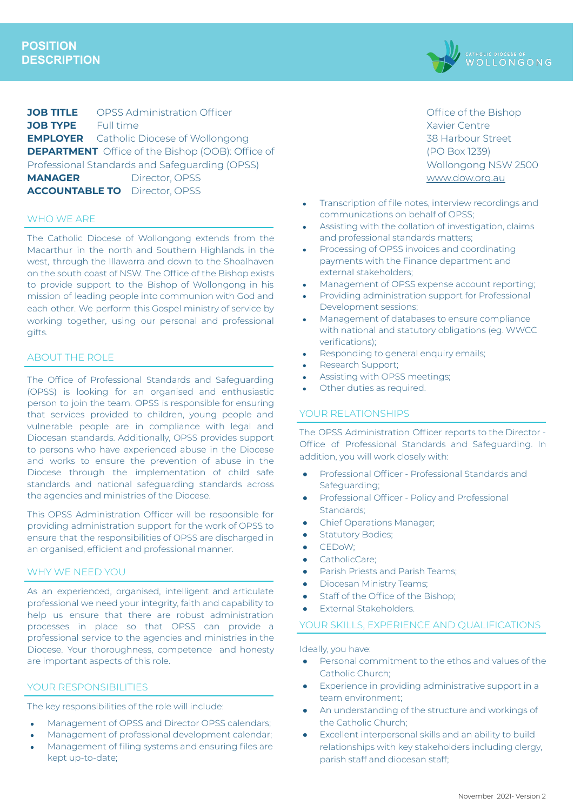

**JOB TITLE** OPSS Administration Officer **JOB TYPE** Full time **EMPLOYER** Catholic Diocese of Wollongong **DEPARTMENT** Office of the Bishop (OOB): Office of Professional Standards and Safeguarding (OPSS) **MANAGER** Director, OPSS **ACCOUNTABLE TO** Director, OPSS

#### WHO WE ARE

The Catholic Diocese of Wollongong extends from the Macarthur in the north and Southern Highlands in the west, through the Illawarra and down to the Shoalhaven on the south coast of NSW. The Office of the Bishop exists to provide support to the Bishop of Wollongong in his mission of leading people into communion with God and each other. We perform this Gospel ministry of service by working together, using our personal and professional gifts.

## ABOUT THE ROLE

The Office of Professional Standards and Safeguarding (OPSS) is looking for an organised and enthusiastic person to join the team. OPSS is responsible for ensuring that services provided to children, young people and vulnerable people are in compliance with legal and Diocesan standards. Additionally, OPSS provides support to persons who have experienced abuse in the Diocese and works to ensure the prevention of abuse in the Diocese through the implementation of child safe standards and national safeguarding standards across the agencies and ministries of the Diocese.

This OPSS Administration Officer will be responsible for providing administration support for the work of OPSS to ensure that the responsibilities of OPSS are discharged in an organised, efficient and professional manner.

#### WHY WE NEED YOU

As an experienced, organised, intelligent and articulate professional we need your integrity, faith and capability to help us ensure that there are robust administration processes in place so that OPSS can provide a professional service to the agencies and ministries in the Diocese. Your thoroughness, competence and honesty are important aspects of this role.

#### YOUR RESPONSIBILITIES

The key responsibilities of the role will include:

- Management of OPSS and Director OPSS calendars:
- Management of professional development calendar;
- Management of filing systems and ensuring files are kept up-to-date;

Office of the Bishop Xavier Centre 38 Harbour Street (PO Box 1239) Wollongong NSW 2500 [www.dow.org.au](http://www.dow.org.a/)

- Transcription of file notes, interview recordings and communications on behalf of OPSS;
- Assisting with the collation of investigation, claims and professional standards matters;
- Processing of OPSS invoices and coordinating payments with the Finance department and external stakeholders;
- Management of OPSS expense account reporting;
- Providing administration support for Professional Development sessions;
- Management of databases to ensure compliance with national and statutory obligations (eg. WWCC verifications);
- Responding to general enquiry emails;
- Research Support;
- Assisting with OPSS meetings;
- Other duties as required.

### YOUR RELATIONSHIPS

The OPSS Administration Officer reports to the Director - Office of Professional Standards and Safeguarding. In addition, you will work closely with:

- Professional Officer Professional Standards and Safeguarding;
- Professional Officer Policy and Professional Standards;
- Chief Operations Manager;
- **•** Statutory Bodies;
- CEDoW;
- CatholicCare;
- Parish Priests and Parish Teams;
- **•** Diocesan Ministry Teams;
- Staff of the Office of the Bishop;
- External Stakeholders.
- YOUR SKILLS, EXPERIENCE AND QUALIFICATIONS

Ideally, you have:

- Personal commitment to the ethos and values of the Catholic Church;
- Experience in providing administrative support in a team environment;
- An understanding of the structure and workings of the Catholic Church;
- Excellent interpersonal skills and an ability to build relationships with key stakeholders including clergy, parish staff and diocesan staff;